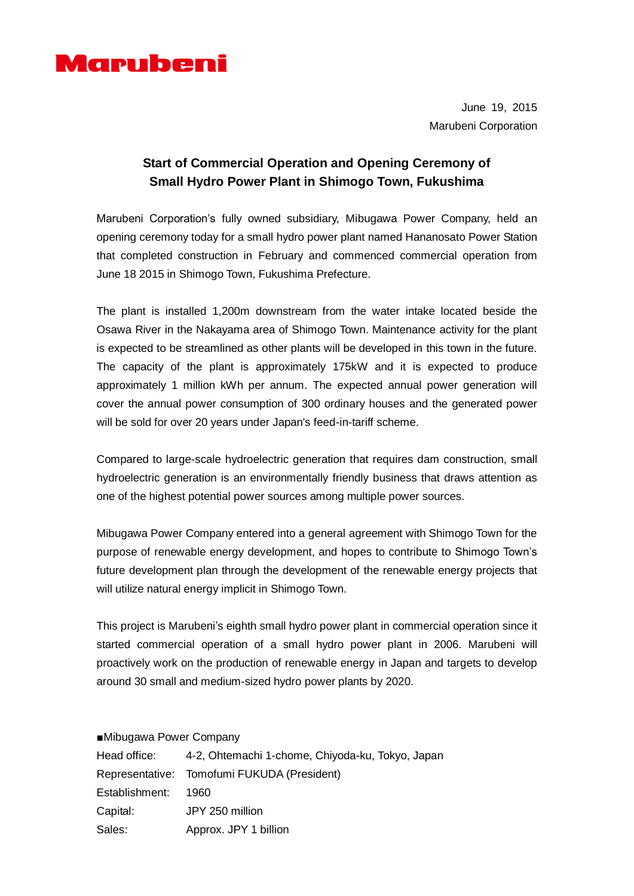

June 19, 2015 Marubeni Corporation

## **Start of Commercial Operation and Opening Ceremony of Small Hydro Power Plant in Shimogo Town, Fukushima**

Marubeni Corporation's fully owned subsidiary, Mibugawa Power Company, held an opening ceremony today for a small hydro power plant named Hananosato Power Station that completed construction in February and commenced commercial operation from June 18 2015 in Shimogo Town, Fukushima Prefecture.

The plant is installed 1,200m downstream from the water intake located beside the Osawa River in the Nakayama area of Shimogo Town. Maintenance activity for the plant is expected to be streamlined as other plants will be developed in this town in the future. The capacity of the plant is approximately 175kW and it is expected to produce approximately 1 million kWh per annum. The expected annual power generation will cover the annual power consumption of 300 ordinary houses and the generated power will be sold for over 20 years under Japan's feed-in-tariff scheme.

Compared to large-scale hydroelectric generation that requires dam construction, small hydroelectric generation is an environmentally friendly business that draws attention as one of the highest potential power sources among multiple power sources.

Mibugawa Power Company entered into a general agreement with Shimogo Town for the purpose of renewable energy development, and hopes to contribute to Shimogo Town's future development plan through the development of the renewable energy projects that will utilize natural energy implicit in Shimogo Town.

This project is Marubeni's eighth small hydro power plant in commercial operation since it started commercial operation of a small hydro power plant in 2006. Marubeni will proactively work on the production of renewable energy in Japan and targets to develop around 30 small and medium-sized hydro power plants by 2020.

■Mibugawa Power Company

| Head office:   | 4-2, Ohtemachi 1-chome, Chiyoda-ku, Tokyo, Japan |
|----------------|--------------------------------------------------|
|                | Representative: Tomofumi FUKUDA (President)      |
| Establishment: | 1960.                                            |
| Capital:       | JPY 250 million                                  |
| Sales:         | Approx. JPY 1 billion                            |